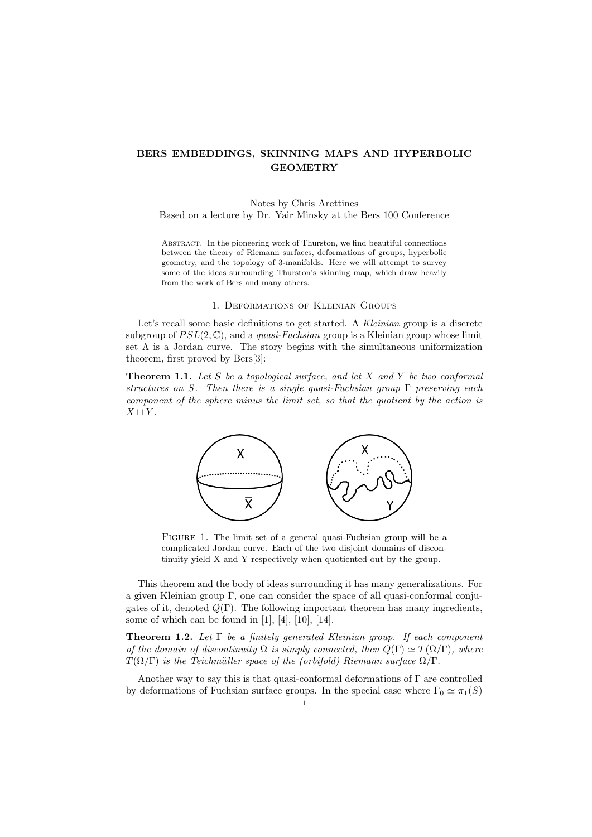# **BERS EMBEDDINGS, SKINNING MAPS AND HYPERBOLIC GEOMETRY**

### Notes by Chris Arettines Based on a lecture by Dr. Yair Minsky at the Bers 100 Conference

ABSTRACT. In the pioneering work of Thurston, we find beautiful connections between the theory of Riemann surfaces, deformations of groups, hyperbolic geometry, and the topology of 3-manifolds. Here we will attempt to survey some of the ideas surrounding Thurston's skinning map, which draw heavily from the work of Bers and many others.

#### 1. Deformations of Kleinian Groups

Let's recall some basic definitions to get started. A *Kleinian* group is a discrete subgroup of  $PSL(2,\mathbb{C})$ , and a *quasi-Fuchsian* group is a Kleinian group whose limit set  $\Lambda$  is a Jordan curve. The story begins with the simultaneous uniformization theorem, first proved by Bers[3]:

**Theorem 1.1.** *Let S be a topological surface, and let X and Y be two conformal structures on S. Then there is a single quasi-Fuchsian group* Γ *preserving each component of the sphere minus the limit set, so that the quotient by the action is X ⊔ Y .*



FIGURE 1. The limit set of a general quasi-Fuchsian group will be a complicated Jordan curve. Each of the two disjoint domains of discontinuity yield X and Y respectively when quotiented out by the group.

This theorem and the body of ideas surrounding it has many generalizations. For a given Kleinian group Γ, one can consider the space of all quasi-conformal conjugates of it, denoted *Q*(Γ). The following important theorem has many ingredients, some of which can be found in  $[1]$ ,  $[4]$ ,  $[10]$ ,  $[14]$ .

**Theorem 1.2.** *Let* Γ *be a finitely generated Kleinian group. If each component of the domain of discontinuity*  $\Omega$  *is simply connected, then*  $Q(\Gamma) \simeq T(\Omega/\Gamma)$ *, where*  $T(\Omega/\Gamma)$  *is the Teichmüller space of the (orbifold) Riemann surface*  $\Omega/\Gamma$ .

Another way to say this is that quasi-conformal deformations of Γ are controlled by deformations of Fuchsian surface groups. In the special case where  $\Gamma_0 \simeq \pi_1(S)$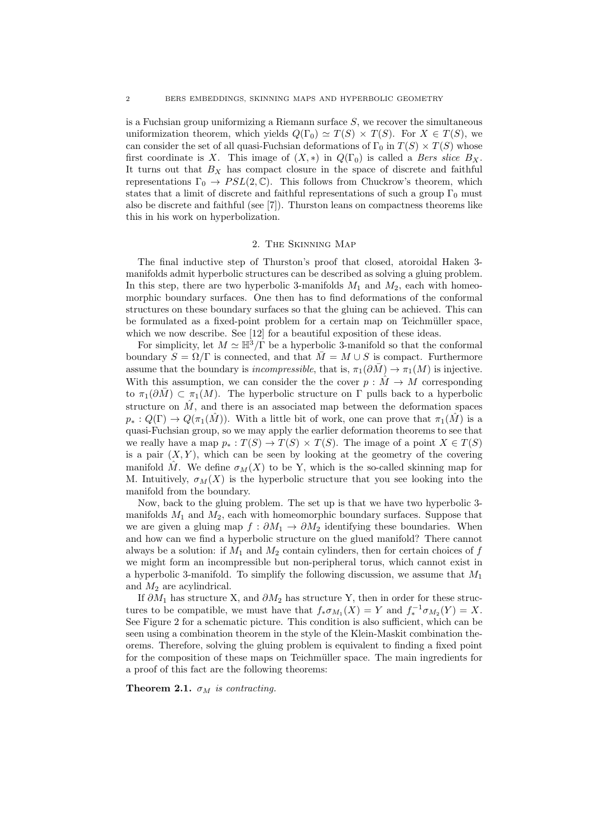is a Fuchsian group uniformizing a Riemann surface *S*, we recover the simultaneous uniformization theorem, which yields  $Q(\Gamma_0) \simeq T(S) \times T(S)$ . For  $X \in T(S)$ , we can consider the set of all quasi-Fuchsian deformations of  $\Gamma_0$  in  $T(S) \times T(S)$  whose first coordinate is *X*. This image of  $(X, *)$  in  $Q(\Gamma_0)$  is called a *Bers slice*  $B_X$ . It turns out that  $B_X$  has compact closure in the space of discrete and faithful representations  $\Gamma_0 \to PSL(2,\mathbb{C})$ . This follows from Chuckrow's theorem, which states that a limit of discrete and faithful representations of such a group  $\Gamma_0$  must also be discrete and faithful (see [7]). Thurston leans on compactness theorems like this in his work on hyperbolization.

#### 2. The Skinning Map

The final inductive step of Thurston's proof that closed, atoroidal Haken 3 manifolds admit hyperbolic structures can be described as solving a gluing problem. In this step, there are two hyperbolic 3-manifolds  $M_1$  and  $M_2$ , each with homeomorphic boundary surfaces. One then has to find deformations of the conformal structures on these boundary surfaces so that the gluing can be achieved. This can be formulated as a fixed-point problem for a certain map on Teichmüller space, which we now describe. See [12] for a beautiful exposition of these ideas.

For simplicity, let  $M \simeq \mathbb{H}^3/\Gamma$  be a hyperbolic 3-manifold so that the conformal boundary  $S = \Omega/\Gamma$  is connected, and that  $\overline{M} = M \cup S$  is compact. Furthermore assume that the boundary is *incompressible*, that is,  $\pi_1(\partial \overline{M}) \to \pi_1(M)$  is injective. With this assumption, we can consider the the cover  $p : \tilde{M} \to M$  corresponding to  $\pi_1(\partial M) \subset \pi_1(M)$ . The hyperbolic structure on Γ pulls back to a hyperbolic structure on  $\hat{M}$ , and there is an associated map between the deformation spaces  $p_* : Q(\Gamma) \to Q(\pi_1(\hat{M}))$ . With a little bit of work, one can prove that  $\pi_1(\hat{M})$  is a quasi-Fuchsian group, so we may apply the earlier deformation theorems to see that we really have a map  $p_* : T(S) \to T(S) \times T(S)$ . The image of a point  $X \in T(S)$ is a pair  $(X, Y)$ , which can be seen by looking at the geometry of the covering manifold  $\hat{M}$ . We define  $\sigma_M(X)$  to be Y, which is the so-called skinning map for M. Intuitively,  $\sigma_M(X)$  is the hyperbolic structure that you see looking into the manifold from the boundary.

Now, back to the gluing problem. The set up is that we have two hyperbolic 3 manifolds  $M_1$  and  $M_2$ , each with homeomorphic boundary surfaces. Suppose that we are given a gluing map  $f : \partial M_1 \to \partial M_2$  identifying these boundaries. When and how can we find a hyperbolic structure on the glued manifold? There cannot always be a solution: if  $M_1$  and  $M_2$  contain cylinders, then for certain choices of  $f$ we might form an incompressible but non-peripheral torus, which cannot exist in a hyperbolic 3-manifold. To simplify the following discussion, we assume that *M*<sup>1</sup> and *M*<sup>2</sup> are acylindrical.

If *∂M*<sup>1</sup> has structure X, and *∂M*<sup>2</sup> has structure Y, then in order for these structures to be compatible, we must have that  $f_* \sigma_{M_1}(X) = Y$  and  $f_*^{-1} \sigma_{M_2}(Y) = X$ . See Figure 2 for a schematic picture. This condition is also sufficient, which can be seen using a combination theorem in the style of the Klein-Maskit combination theorems. Therefore, solving the gluing problem is equivalent to finding a fixed point for the composition of these maps on Teichmüller space. The main ingredients for a proof of this fact are the following theorems:

**Theorem 2.1.**  $\sigma_M$  *is contracting.*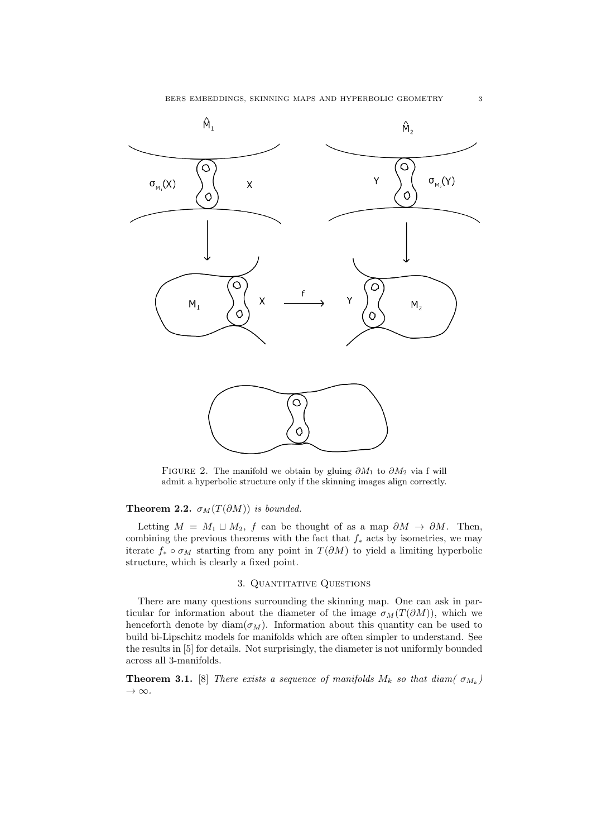

FIGURE 2. The manifold we obtain by gluing  $\partial M_1$  to  $\partial M_2$  via f will admit a hyperbolic structure only if the skinning images align correctly.

## **Theorem 2.2.**  $\sigma_M(T(\partial M))$  *is bounded.*

Letting  $M = M_1 \sqcup M_2$ ,  $f$  can be thought of as a map  $\partial M \to \partial M$ . Then, combining the previous theorems with the fact that *f<sup>∗</sup>* acts by isometries, we may iterate  $f_* \circ \sigma_M$  starting from any point in  $T(\partial M)$  to yield a limiting hyperbolic structure, which is clearly a fixed point.

### 3. Quantitative Questions

There are many questions surrounding the skinning map. One can ask in particular for information about the diameter of the image  $\sigma_M(T(\partial M))$ , which we henceforth denote by diam( $\sigma_M$ ). Information about this quantity can be used to build bi-Lipschitz models for manifolds which are often simpler to understand. See the results in [5] for details. Not surprisingly, the diameter is not uniformly bounded across all 3-manifolds.

**Theorem 3.1.** [8] *There exists a sequence of manifolds*  $M_k$  *so that diam(*  $\sigma_{M_k}$ ) *→ ∞.*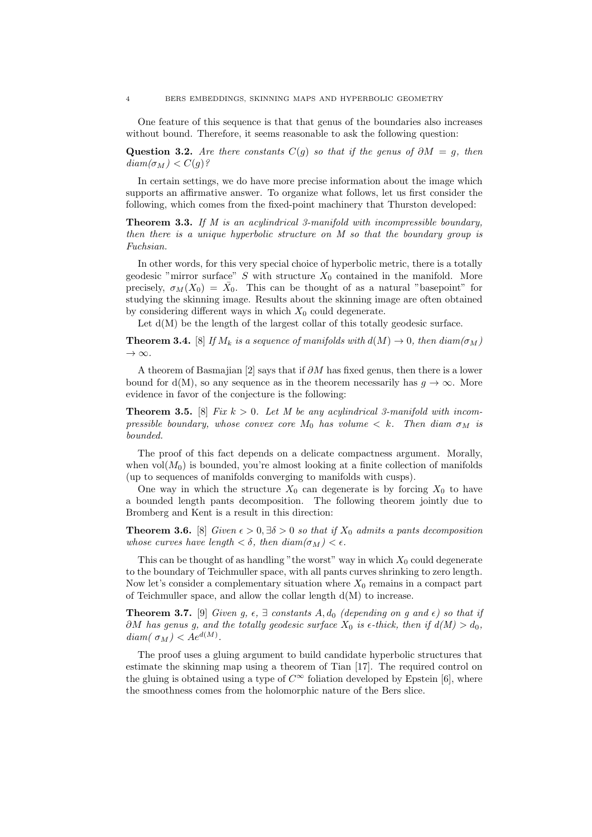One feature of this sequence is that that genus of the boundaries also increases without bound. Therefore, it seems reasonable to ask the following question:

**Question 3.2.** *Are there constants*  $C(g)$  *so that if the genus of*  $\partial M = g$ *, then*  $diam(\sigma_M) < C(g)$ ?

In certain settings, we do have more precise information about the image which supports an affirmative answer. To organize what follows, let us first consider the following, which comes from the fixed-point machinery that Thurston developed:

**Theorem 3.3.** *If M is an acylindrical 3-manifold with incompressible boundary, then there is a unique hyperbolic structure on M so that the boundary group is Fuchsian.*

In other words, for this very special choice of hyperbolic metric, there is a totally geodesic "mirror surface" *S* with structure  $X_0$  contained in the manifold. More precisely,  $\sigma_M(X_0) = \overline{X}_0$ . This can be thought of as a natural "basepoint" for studying the skinning image. Results about the skinning image are often obtained by considering different ways in which  $X_0$  could degenerate.

Let  $d(M)$  be the length of the largest collar of this totally geodesic surface.

**Theorem 3.4.** [8] *If*  $M_k$  *is a sequence of manifolds with*  $d(M) \rightarrow 0$ *, then diam(* $\sigma_M$ *) → ∞.*

A theorem of Basmajian [2] says that if *∂M* has fixed genus, then there is a lower bound for  $d(M)$ , so any sequence as in the theorem necessarily has  $q \to \infty$ . More evidence in favor of the conjecture is the following:

**Theorem 3.5.** [8] *Fix*  $k > 0$ . Let M be any acylindrical 3-manifold with incom*pressible boundary, whose convex core*  $M_0$  *has volume*  $\lt k$ *. Then diam*  $\sigma_M$  *is bounded.*

The proof of this fact depends on a delicate compactness argument. Morally, when  $vol(M_0)$  is bounded, you're almost looking at a finite collection of manifolds (up to sequences of manifolds converging to manifolds with cusps).

One way in which the structure  $X_0$  can degenerate is by forcing  $X_0$  to have a bounded length pants decomposition. The following theorem jointly due to Bromberg and Kent is a result in this direction:

**Theorem 3.6.** [8] *Given*  $\epsilon > 0$ ,  $\exists \delta > 0$  *so that if*  $X_0$  *admits a pants decomposition whose curves have length*  $\lt \delta$ *, then diam* $(\sigma_M) \lt \epsilon$ *.* 

This can be thought of as handling "the worst" way in which  $X_0$  could degenerate to the boundary of Teichmuller space, with all pants curves shrinking to zero length. Now let's consider a complementary situation where  $X_0$  remains in a compact part of Teichmuller space, and allow the collar length  $d(M)$  to increase.

**Theorem 3.7.** [9] *Given g,*  $\epsilon$ *,*  $\exists$  *constants*  $A$ ,  $d_0$  *(depending on g and*  $\epsilon$ *) so that if ∂M has genus g, and the totally geodesic surface*  $X_0$  *is*  $\epsilon$ -thick, then if  $d(M) > d_0$ ,  $diam(\sigma_M) < Ae^{d(M)}$ .

The proof uses a gluing argument to build candidate hyperbolic structures that estimate the skinning map using a theorem of Tian [17]. The required control on the gluing is obtained using a type of  $C^{\infty}$  foliation developed by Epstein [6], where the smoothness comes from the holomorphic nature of the Bers slice.